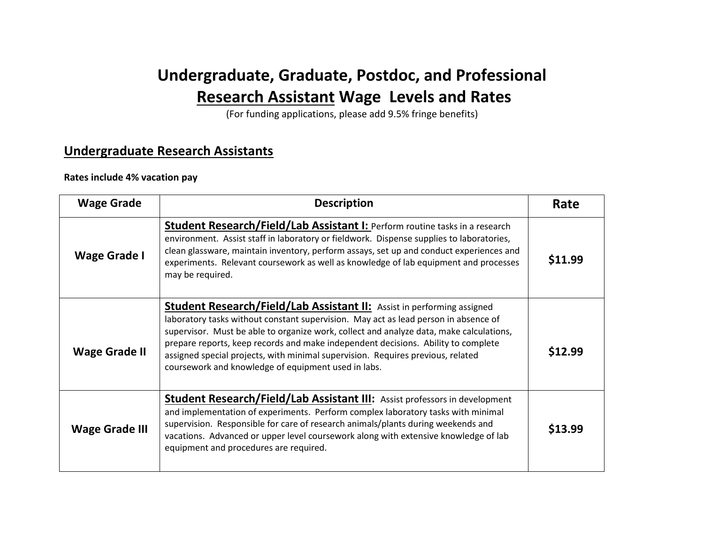# **Undergraduate, Graduate, Postdoc, and Professional Research Assistant Wage Levels and Rates**

(For funding applications, please add 9.5% fringe benefits)

### **Undergraduate Research Assistants**

#### **Rates include 4% vacation pay**

| <b>Wage Grade</b>    | <b>Description</b>                                                                                                                                                                                                                                                                                                                                                                                                                                                                             | Rate    |
|----------------------|------------------------------------------------------------------------------------------------------------------------------------------------------------------------------------------------------------------------------------------------------------------------------------------------------------------------------------------------------------------------------------------------------------------------------------------------------------------------------------------------|---------|
| <b>Wage Grade I</b>  | <b>Student Research/Field/Lab Assistant I: Perform routine tasks in a research</b><br>environment. Assist staff in laboratory or fieldwork. Dispense supplies to laboratories,<br>clean glassware, maintain inventory, perform assays, set up and conduct experiences and<br>experiments. Relevant coursework as well as knowledge of lab equipment and processes<br>may be required.                                                                                                          | \$11.99 |
| <b>Wage Grade II</b> | <b>Student Research/Field/Lab Assistant II:</b> Assist in performing assigned<br>laboratory tasks without constant supervision. May act as lead person in absence of<br>supervisor. Must be able to organize work, collect and analyze data, make calculations,<br>prepare reports, keep records and make independent decisions. Ability to complete<br>assigned special projects, with minimal supervision. Requires previous, related<br>coursework and knowledge of equipment used in labs. | \$12.99 |
| Wage Grade III       | <b>Student Research/Field/Lab Assistant III:</b> Assist professors in development<br>and implementation of experiments. Perform complex laboratory tasks with minimal<br>supervision. Responsible for care of research animals/plants during weekends and<br>vacations. Advanced or upper level coursework along with extensive knowledge of lab<br>equipment and procedures are required.                                                                                                     | \$13.99 |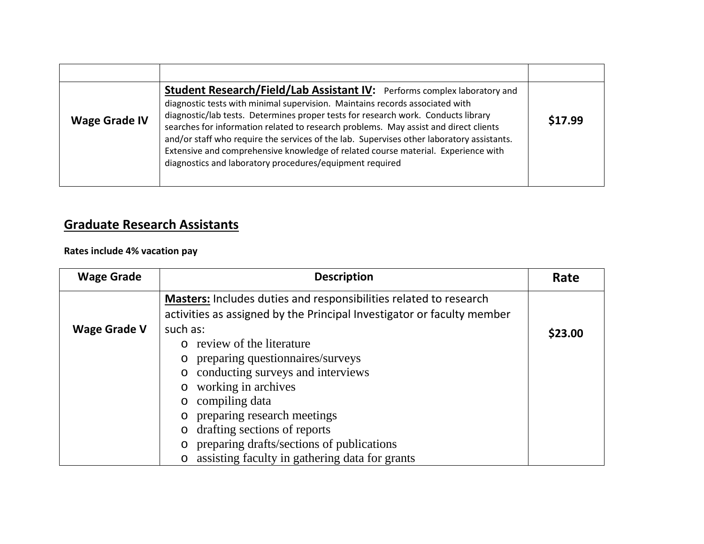| <b>Wage Grade IV</b> | <b>Student Research/Field/Lab Assistant IV:</b> Performs complex laboratory and<br>diagnostic tests with minimal supervision. Maintains records associated with<br>diagnostic/lab tests. Determines proper tests for research work. Conducts library<br>searches for information related to research problems. May assist and direct clients<br>and/or staff who require the services of the lab. Supervises other laboratory assistants.<br>Extensive and comprehensive knowledge of related course material. Experience with<br>diagnostics and laboratory procedures/equipment required | \$17.99 |
|----------------------|--------------------------------------------------------------------------------------------------------------------------------------------------------------------------------------------------------------------------------------------------------------------------------------------------------------------------------------------------------------------------------------------------------------------------------------------------------------------------------------------------------------------------------------------------------------------------------------------|---------|

## **Graduate Research Assistants**

**Rates include 4% vacation pay**

| <b>Wage Grade</b>   | <b>Description</b>                                                       | Rate    |
|---------------------|--------------------------------------------------------------------------|---------|
|                     | <b>Masters:</b> Includes duties and responsibilities related to research |         |
|                     | activities as assigned by the Principal Investigator or faculty member   |         |
| <b>Wage Grade V</b> | such as:                                                                 | \$23.00 |
|                     | review of the literature<br>$\Omega$                                     |         |
|                     | preparing questionnaires/surveys<br>$\circ$                              |         |
|                     | conducting surveys and interviews                                        |         |
|                     | working in archives                                                      |         |
|                     | compiling data                                                           |         |
|                     | preparing research meetings                                              |         |
|                     | drafting sections of reports                                             |         |
|                     | preparing drafts/sections of publications                                |         |
|                     | assisting faculty in gathering data for grants<br>$\circ$                |         |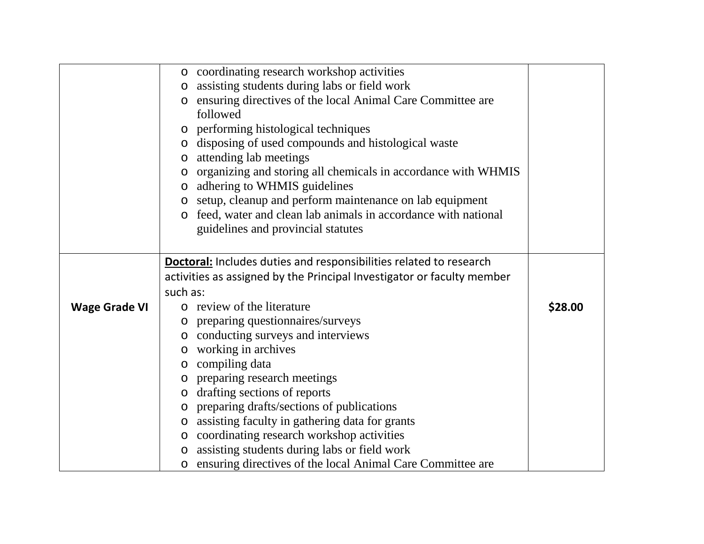|                      | o coordinating research workshop activities                               |         |
|----------------------|---------------------------------------------------------------------------|---------|
|                      | assisting students during labs or field work<br>$\circ$                   |         |
|                      | ensuring directives of the local Animal Care Committee are<br>O           |         |
|                      | followed                                                                  |         |
|                      | performing histological techniques<br>$\circ$                             |         |
|                      | disposing of used compounds and histological waste<br>$\circ$             |         |
|                      | attending lab meetings                                                    |         |
|                      | organizing and storing all chemicals in accordance with WHMIS<br>$\circ$  |         |
|                      | adhering to WHMIS guidelines<br>$\circ$                                   |         |
|                      | setup, cleanup and perform maintenance on lab equipment<br>$\circ$        |         |
|                      | feed, water and clean lab animals in accordance with national             |         |
|                      | guidelines and provincial statutes                                        |         |
|                      |                                                                           |         |
|                      | <b>Doctoral:</b> Includes duties and responsibilities related to research |         |
|                      | activities as assigned by the Principal Investigator or faculty member    |         |
|                      | such as:                                                                  |         |
| <b>Wage Grade VI</b> | o review of the literature                                                | \$28.00 |
|                      | preparing questionnaires/surveys<br>$\circ$                               |         |
|                      | conducting surveys and interviews<br>$\circ$                              |         |
|                      | working in archives<br>$\circ$                                            |         |
|                      | compiling data<br>O                                                       |         |
|                      | preparing research meetings<br>$\circ$                                    |         |
|                      | drafting sections of reports                                              |         |
|                      | preparing drafts/sections of publications<br>$\circ$                      |         |
|                      | assisting faculty in gathering data for grants<br>O                       |         |
|                      | coordinating research workshop activities<br>$\circ$                      |         |
|                      | assisting students during labs or field work<br>$\circ$                   |         |
|                      | ensuring directives of the local Animal Care Committee are<br>$\circ$     |         |